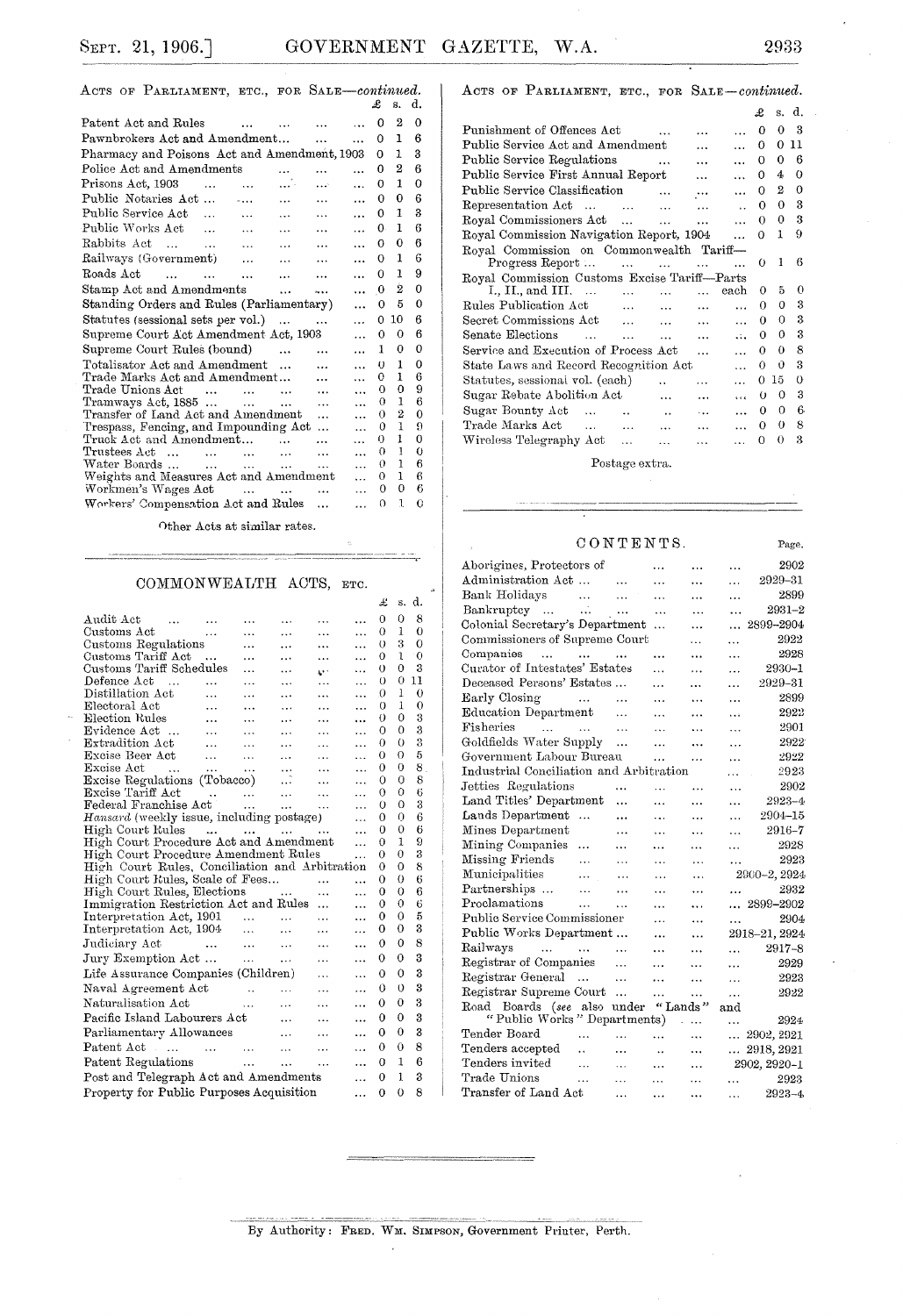ACTS OF PARLIAMENT, ETC., FOR SALE-continued.

|                                                                                             |                           |                       | Ŀ           | s.                  | α.            |  |
|---------------------------------------------------------------------------------------------|---------------------------|-----------------------|-------------|---------------------|---------------|--|
| Patent Act and Rules<br>$\cdots$                                                            |                           |                       | 0           | 2                   | 0             |  |
| Pawnbrokers Act and Amendment                                                               | $\cdots$                  | .                     | 0           | 1                   | 6             |  |
| Pharmacy and Poisons Act and Amendment, 1903                                                |                           |                       | O           | 1                   | 3             |  |
| Police Act and Amendments                                                                   |                           |                       | Ω           | 2                   | 6             |  |
| Prisons Act. 1903<br>$\ddotsc$<br>$\ddotsc$                                                 | المعام                    | $\ddotsc$             | 0           | 1                   | $\Omega$      |  |
| Public Notaries Act<br>$\sim$<br>$\cdots$                                                   | $\cdots$                  | .                     | 0           | 0                   | 6             |  |
| Public Service Act<br>$\ddotsc$<br>$\cdots$<br>$\cdots$                                     | $\cdots$                  | $\cdots$              | 0           | 1                   | 3             |  |
| Public Works Act<br>$\sim$ $\sim$ $\sim$<br>$\cdots$<br>$\cdots$                            | $\ddotsc$                 | $\cdots$              | 0.          | 1                   | 6             |  |
| Rabbits Act<br>$\sim$<br>$\ddotsc$                                                          | $\cdots$                  | $\cdots$              | $\Omega$    | 0                   | 6             |  |
| Railways (Government)<br>$\cdots$<br>$\cdots$                                               | $\ddotsc$                 | $\ddotsc$             | $\Omega$    | 1                   | 6             |  |
| Roads Act<br>$\dddotsc$<br>$\sim$ 100 $\mu$<br>$\cdots$<br>$\ddotsc$                        |                           | $\cdots$              | 0           | 1                   | 9             |  |
| Stamp Act and Amendments<br>$\ddotsc$                                                       | .                         | $\ddotsc$             | $\mathbf 0$ | 2                   | 0             |  |
| Standing Orders and Rules (Parliamentary)                                                   |                           | $\ddotsc$             | $\Omega$    | 5                   | 0             |  |
| Statutes (sessional sets per vol.)<br>$\cdots$                                              | $\cdots$                  | $\cdots$              | 0           | 10                  | 6             |  |
| Supreme Court Act Amendment Act, 1903                                                       |                           | $\cdots$              | $\Omega$    | O                   | 6             |  |
| Supreme Court Rules (bound)<br>$\ddotsc$                                                    | $\ddotsc$                 | $\cdots$              | 1           | 0                   | 0             |  |
| Totalisator Act and Amendment<br>$\ddotsc$                                                  | $\ddotsc$                 | $\cdots$              | $\{\}$      | 1                   | $\Omega$      |  |
| Trade Marks Act and Amendment                                                               |                           | $\ddotsc$             | 0           | 1                   | 6             |  |
| Trade Unions Act<br>$\sim$<br>$\sim$ 100 $\mu$<br>$\cdots$                                  |                           | $\cdots$              | 0           | $\Omega$            | 9             |  |
| $Transways \text{ Act}, 1885 \ldots \ldots$<br>$\sim$<br>Transfer of Land Act and Amendment | $\cdots$                  | $\ddotsc$             | 0<br>0      | 1<br>$\overline{2}$ | 6<br>$\Omega$ |  |
| Trespass, Fencing, and Impounding Act                                                       | .<br>$\ddot{\phantom{a}}$ | $\cdots$<br>$\ddotsc$ | 0           | ĩ                   | 9             |  |
| Truck Act and Amendment<br>$\cdots$                                                         | $\cdots$                  | $\ddotsc$             | 0           | Ŧ                   | 0             |  |
| Trustees Act<br>$\ddotsc$<br>$\cdots$                                                       | .                         | $\cdots$              | Ω           | 1                   | 0             |  |
| Water Boards<br>$\cdots$<br>$\cdots$                                                        | .                         | .                     | 0           | T.                  | 6             |  |
| Weights and Measures Act and Amendment                                                      |                           | .                     | 0           | 1                   | 6             |  |
| Workmen's Wages Act<br><b>Contract Contract Contract</b>                                    | $\cdots$                  | $\ddotsc$             | $\Omega$    | 0                   | 6             |  |
| Workers' Compensation Act and Rules                                                         | $\ddotsc$                 |                       | $\Omega$    | ı                   | 0             |  |
|                                                                                             |                           |                       |             |                     |               |  |

Other Acts at similar rates.

### COMMONWEALTH ACTS, ETC.

|                                                                                                          |                      |                      | £        | s.           | d.       |
|----------------------------------------------------------------------------------------------------------|----------------------|----------------------|----------|--------------|----------|
| Audit Act<br>$\sim$ 100 $\sim$                                                                           |                      | $\ddotsc$            | 0        | 0            | 8        |
| Customs Act<br>.<br>.                                                                                    | .                    | $\cdots$             | 0        | 1            | 0        |
| Customs Regulations<br>.                                                                                 | $\cdots$             | $\cdots$             | $\theta$ | 3            | $\Omega$ |
| Customs Tariff Act<br>$\cdots$                                                                           | $\cdots$             |                      | 0        | ı            | $\theta$ |
| Customs Tariff Schedules<br>$\cdots$                                                                     | z٠٠                  | $\ddotsc$            | 0        | 0            | 3        |
| $\mathop{\mathsf{Def}}\nolimits$ efence $\mathop{\mathsf{Act}}$<br>$\cdots$<br>.                         | .                    |                      | 0        | 0            | 11       |
| Distillation Act<br>$\ddotsc$                                                                            | .                    |                      | 0        | 1            | $\Omega$ |
| Electoral Act<br>$\ddotsc$                                                                               |                      |                      | 0        | 1            | $\Omega$ |
| Election Rules<br>$\cdots$                                                                               | .                    | .                    | 0        | 0            | 3        |
| Evidence Act<br>$\ddotsc$<br>.                                                                           | .                    | $\ddotsc$            | Ω        | 0            | 3        |
| Extradition Act<br>$\ddotsc$<br>$\ddotsc$<br>.                                                           | .                    | $\ddot{\phantom{a}}$ | $\Omega$ | $_{0}$       | 3        |
| Excise Beer Act<br>$\cdots$<br>$\cdots$<br>$\cdots$                                                      | $\cdots$             | .                    | 0        | $\Omega$     | 5        |
| Excise Act<br>$\sim$ $\sim$ $\sim$<br>$\ddots$<br>$\sim 100$ km s $^{-1}$<br>$\cdots$                    | $\cdots$             |                      | 0        | 0            | 8        |
| Excise Regulations (Tobacco)<br>.                                                                        | .                    | $\ddotsc$            | $\Omega$ | 0            | 8        |
| Excise Tariff Act<br>$\frac{1}{4\pi\hbar}$ and $\frac{1}{4\pi\hbar}$                                     | $\ddotsc$            |                      | О        | 0            | 6        |
| Federal Franchise Act<br>$\cdots$<br>$\cdots$                                                            | $\ddot{\phantom{a}}$ |                      | $\Omega$ | $\Omega$     | 3        |
| Hansard (weekly issue, including postage)                                                                |                      |                      | Ω        | Ω            | 6        |
| High Court Rules                                                                                         |                      | .                    | ∩        | 0            | 6        |
| High Court Procedure Act and Amendment                                                                   |                      | .                    | 0        | $\mathbf{1}$ | 9        |
| High Court Procedure Amendment Rules                                                                     | $\ddotsc$            | 0                    | $\Omega$ | 3            |          |
| High Court Rules, Conciliation and Arbitration                                                           |                      |                      | 0        | 0            | 8        |
| High Court Rules, Scale of Fees                                                                          | $\cdots$             | $\cdots$             | 0        | $\Omega$     | 6        |
| High Court Rules, Elections                                                                              | .                    | $\ddotsc$            | 0        | $\Omega$     | 6        |
| Immigration Restriction Act and Rules                                                                    | .                    | .                    | O        | $\Omega$     | 6        |
| Interpretation Act, 1901                                                                                 |                      |                      | 0        | 0            | 5        |
| Interpretation Act, 1904<br>$\cdots$                                                                     |                      |                      | 0        | O            | 3        |
| Judiciary Act<br><b>Contractor</b><br>$\sim$ 10<br>$\sim$                                                |                      |                      | 0        | 0            | 8        |
| Jury Exemption Act<br>$\sim$ 100 $\mu$ and 100 $\mu$                                                     | .                    | .                    | 0        | 0            | 3        |
| Life Assurance Companies (Children)                                                                      | .                    | .                    | 0        | 0            | 3        |
| Naval Agreement Act                                                                                      |                      | $\ddotsc$            | 0        | $\Omega$     | 3        |
| $\mathbf{r} = \mathbf{r} \cdot \mathbf{r}$<br>Naturalisation Act<br>$\ddotsc$                            | $\cdots$             | .                    | 0        | 0            | 3        |
| Pacific Island Labourers Act                                                                             |                      |                      | 0        | 0            | 3        |
| $\ddotsc$                                                                                                |                      | $\ddotsc$            |          | 0            | 3        |
| Parliamentary Allowances<br>$\cdots$                                                                     |                      | $\ddotsc$            | 0        |              |          |
| Patent Act<br><b>Contract Contract</b><br>$\sim$ 100 $\sim$ 100 $\sim$<br><b>Contractor</b><br>$\ddotsc$ | $\ddotsc$            | $\ddotsc$            | o        | 0            | 8        |
| Patent Regulations                                                                                       | .                    | $\cdots$             | о        | 1            | 6        |
| Post and Telegraph Act and Amendments                                                                    |                      |                      |          |              | 3        |
| Property for Public Purposes Acquisition                                                                 |                      | $\cdots$             | 0        | $\Omega$     | 8        |
|                                                                                                          |                      |                      |          |              |          |

By Authority: FRED. WM. SIMPSON, Government Printer, Perth.

ACTS OF PARLIAMENT, ETC., FOR SALE-continued.

|                                               |                      |           |                      | £          |          | s. d.        |  |
|-----------------------------------------------|----------------------|-----------|----------------------|------------|----------|--------------|--|
| Punishment of Offences Act                    |                      |           |                      | 0          | 0        | з            |  |
| Public Service Act and Amendment              |                      | $\ddotsc$ | $\ddotsc$            | 0          | 0        | 11           |  |
| Public Service Regulations                    | $\ddotsc$            | $\ddotsc$ | $\ddotsc$            | О          | 0        | 6            |  |
| Public Service First Annual Report            |                      | $\cdots$  | $\ddotsc$            | 0          | 4        | 0            |  |
| Public Service Classification                 | $\ddotsc$            |           | .                    | Ω          | 2        | 0            |  |
| Representation Act                            | $\ddotsc$            | $\cdots$  | $\ddot{\phantom{a}}$ | 0          | 0        | 3            |  |
| Royal Commissioners Act                       | $\ddotsc$            | $\ddotsc$ | $\cdots$             | 0          | 0        | 3            |  |
| Royal Commission Navigation Report, 1904      |                      |           |                      | 0          | 1        | 9            |  |
| Royal Commission on Commonwealth Tariff-      |                      |           |                      |            |          |              |  |
| Progress Report<br>$\cdots$                   | $\cdots$             |           |                      | $^{()}$    | 1        | 6            |  |
| Royal Commission Customs Excise Tariff--Parts |                      |           |                      |            |          |              |  |
| I., II., and III.<br>$\ddotsc$                | $\ddotsc$            |           | each                 | 0          | 5        | 0            |  |
| Rules Publication Act<br>$\ddotsc$            | $\ddotsc$            | $\cdots$  | $\ddot{\phantom{a}}$ | Ω          | 0        | 3            |  |
| Secret Commissions Act<br>$\sim$              | $\ldots$             | $\cdots$  | $\ddotsc$            | 0          | 0        | 3            |  |
| Senate Elections<br>$\sim$ 1.12<br>$\ddotsc$  | $\cdots$             | $\cdots$  | $\mathbf{1}$         | 0          | 0        | 3            |  |
| Service and Execution of Process Act          |                      | $\cdots$  | $\ddotsc$            | 0          | $\theta$ | 8            |  |
| State Laws and Record Recognition Act         |                      |           | $\cdots$             | 0          | 0        | 3            |  |
| Statutes, sessional vol. (each)               | $\ddot{\phantom{a}}$ | $\cdots$  | .                    | 0          | 15       | 0            |  |
| Sugar Rebate Abolition Act                    | $\ddotsc$            | .         | $\cdots$             | $_{\odot}$ | 0        | 3            |  |
| Sugar Bounty $Act$<br>$\ddot{\phantom{a}}$    | $\ddot{\phantom{a}}$ | $\ddotsc$ | $\ddotsc$            | 0          | 0        | 6            |  |
| Trade Marks Act                               | $\ddotsc$            | $\cdots$  | $\cdots$             | 0          | 0        | 8            |  |
| Wireless Telegraphy Act<br>$\ddotsc$          | $\cdots$             | $\cdots$  | $\cdots$             | 0          | 0        | $\mathbf{a}$ |  |
|                                               |                      |           |                      |            |          |              |  |

 $\label{eq:postage} \textbf{Postage extra.}$ 

### $\begin{tabular}{ll} \multicolumn{2}{l}{{\textbf C}}{{\textbf O}}{{\textbf N}}{\textbf T}{\textbf E}{{\textbf N}}{\textbf T}{\textbf S}. \end{tabular}$

| Aborigines, Protectors of                             | .                    | .                    | 2902<br>.               |  |
|-------------------------------------------------------|----------------------|----------------------|-------------------------|--|
| Administration Act<br>.                               | .                    |                      | 2929–31<br>.            |  |
| Bank Holidays<br>$\sim 100$ km s $^{-1}$<br>$\ddotsc$ | .                    | $\cdots$             | 2899<br>.               |  |
| Bankruptcy<br>$\ddots$                                | $\cdots$             | .                    | $2931 - 2$<br>$\ddotsc$ |  |
| Colonial Secretary's Department                       | $\cdots$             | .                    | 2899-2904<br>.          |  |
| Commissioners of Supreme Court                        |                      | .                    | 2922<br>.               |  |
| Companies                                             |                      |                      | 2928<br>                |  |
| Curator of Intestates' Estates                        | $\ddotsc$            | .                    | 2930-1<br>.             |  |
| Deceased Persons' Estates                             | .                    |                      | 2929-31<br>.            |  |
| Early Closing<br>$\sim 100$ and<br>$\cdots$           | $\cdots$             | $\ddot{\phantom{a}}$ | 2899<br>.               |  |
| Education Department<br>.                             | $\cdots$             | .                    | 2922<br>دده             |  |
| Fisheries<br>and a state of the state<br>$\ddotsc$    | $\ddotsc$            | $\ddotsc$            | 2901<br>.               |  |
| Goldfields Water Supply<br>.                          | $\ddotsc$            | $\ddotsc$            | 2922<br>.               |  |
| Government Labour Bureau                              | .                    | .                    | 2922<br>.               |  |
| Industrial Conciliation and Arbitration               |                      |                      | 2923<br>.               |  |
| Jetties Regulations<br>                               | .                    | $\cdots$             | 2902<br>$\ddotsc$       |  |
| Land Titles' Department<br>$\ddotsc$                  | $\ddotsc$            | $\ddotsc$            | 2923-4<br>.             |  |
| Lands Department<br>$\sim$<br>                        | .                    | $\ddotsc$            | 2904-15<br>.            |  |
| Mines Department<br>.                                 | .                    | .                    | 2916-7<br>.             |  |
| Mining Companies<br>.<br>.                            | $\ddotsc$            | .                    | 2928<br>.               |  |
| Missing Friends<br>$\ddotsc$<br>$\cdots$              | $\ddotsc$            | $\ddotsc$            | 2923<br>.               |  |
| Municipalities<br>$\ddotsc$<br>$\cdots$               | $\ddotsc$            | .                    | 2900-2, 2924            |  |
| Partnerships<br>$\ddotsc$<br>.                        | $\ddotsc$            | .                    | 2932<br>                |  |
| Proclamations<br>.<br>.                               | .                    |                      | $\ldots$ 2899-2902      |  |
| Public Service Commissioner                           | .                    | .                    | 2904<br>.               |  |
| Public Works Department                               |                      | $\ddotsc$            | 2918-21, 2924           |  |
| Railways<br>and the company<br>$\cdots$               | .                    | $\cdots$             | $2917 - 8$<br>$\ddotsc$ |  |
| Registrar of Companies<br>$\ddotsc$                   | .                    | $\ddotsc$            | 2929<br>.               |  |
| Registrar General<br>$\ldots$<br>.                    |                      | .                    | 2923<br>$\ddotsc$       |  |
| Registrar Supreme Court<br>$\ddotsc$                  | .                    | .                    | 2922<br>.               |  |
| Road Boards (see also under                           |                      | "Lands"              | $_{\rm and}$            |  |
| "Public Works" Departments)                           |                      | $\ddotsc$            | 2924<br>$\cdots$        |  |
| Tender Board<br>.<br>$\ddotsc$                        | $\ddotsc$            | $\ddotsc$            | $\ldots$ 2902, 2921     |  |
| Tenders accepted<br>. .<br>.                          | $\ddot{\phantom{0}}$ | $\ldots$             | 2918, 2921<br>.         |  |
| Tenders invited<br>$\ddotsc$<br>$\cdots$              | .                    | .                    | 2902, 2920-1            |  |
| Trade Unions<br>.<br>.                                | .                    | .                    | 2923<br>.               |  |
| Transfer of Land Act<br>.                             | $\ddotsc$            |                      | $2923 - 4$<br>.         |  |
|                                                       |                      |                      |                         |  |

Page.